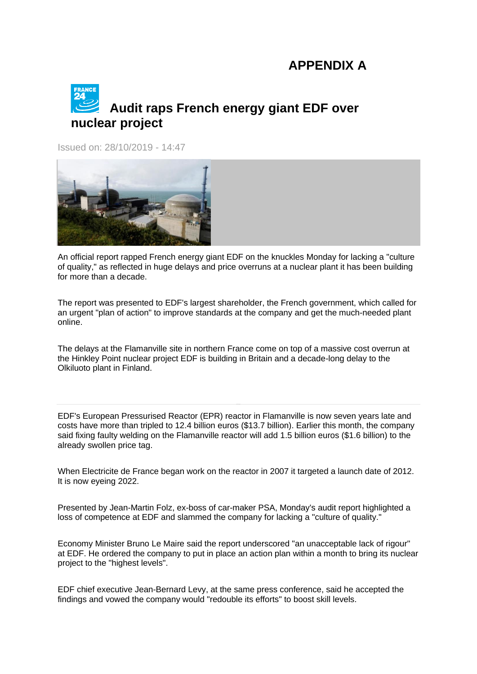## **APPENDIX A**

## **Audit raps French energy giant EDF over nuclear project**

Issued on: 28/10/2019 - 14:47



An official report rapped French energy giant EDF on the knuckles Monday for lacking a "culture of quality," as reflected in huge delays and price overruns at a nuclear plant it has been building for more than a decade.

The report was presented to EDF's largest shareholder, the French government, which called for an urgent "plan of action" to improve standards at the company and get the much-needed plant online.

The delays at the Flamanville site in northern France come on top of a massive cost overrun at the Hinkley Point nuclear project EDF is building in Britain and a decade-long delay to the Olkiluoto plant in Finland.

EDF's European Pressurised Reactor (EPR) reactor in Flamanville is now seven years late and costs have more than tripled to 12.4 billion euros (\$13.7 billion). Earlier this month, the company said fixing faulty welding on the Flamanville reactor will add 1.5 billion euros (\$1.6 billion) to the already swollen price tag.

When Electricite de France began work on the reactor in 2007 it targeted a launch date of 2012. It is now eyeing 2022.

Presented by Jean-Martin Folz, ex-boss of car-maker PSA, Monday's audit report highlighted a loss of competence at EDF and slammed the company for lacking a "culture of quality."

Economy Minister Bruno Le Maire said the report underscored "an unacceptable lack of rigour" at EDF. He ordered the company to put in place an action plan within a month to bring its nuclear project to the "highest levels".

EDF chief executive Jean-Bernard Levy, at the same press conference, said he accepted the findings and vowed the company would "redouble its efforts" to boost skill levels.